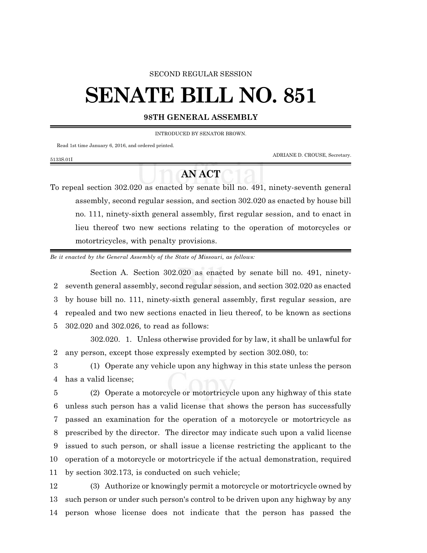## SECOND REGULAR SESSION

## **SENATE BILL NO. 851**

## **98TH GENERAL ASSEMBLY**

INTRODUCED BY SENATOR BROWN.

Read 1st time January 6, 2016, and ordered printed.

5133S.01I

ADRIANE D. CROUSE, Secretary.

## **AN ACT**

To repeal section 302.020 as enacted by senate bill no. 491, ninety-seventh general assembly, second regular session, and section 302.020 as enacted by house bill no. 111, ninety-sixth general assembly, first regular session, and to enact in lieu thereof two new sections relating to the operation of motorcycles or motortricycles, with penalty provisions.

*Be it enacted by the General Assembly of the State of Missouri, as follows:*

Section A. Section 302.020 as enacted by senate bill no. 491, ninety- seventh general assembly, second regular session, and section 302.020 as enacted by house bill no. 111, ninety-sixth general assembly, first regular session, are repealed and two new sections enacted in lieu thereof, to be known as sections 302.020 and 302.026, to read as follows:

302.020. 1. Unless otherwise provided for by law, it shall be unlawful for 2 any person, except those expressly exempted by section 302.080, to:

3 (1) Operate any vehicle upon any highway in this state unless the person 4 has a valid license;

 (2) Operate a motorcycle or motortricycle upon any highway of this state unless such person has a valid license that shows the person has successfully passed an examination for the operation of a motorcycle or motortricycle as prescribed by the director. The director may indicate such upon a valid license issued to such person, or shall issue a license restricting the applicant to the operation of a motorcycle or motortricycle if the actual demonstration, required by section 302.173, is conducted on such vehicle;

12 (3) Authorize or knowingly permit a motorcycle or motortricycle owned by 13 such person or under such person's control to be driven upon any highway by any 14 person whose license does not indicate that the person has passed the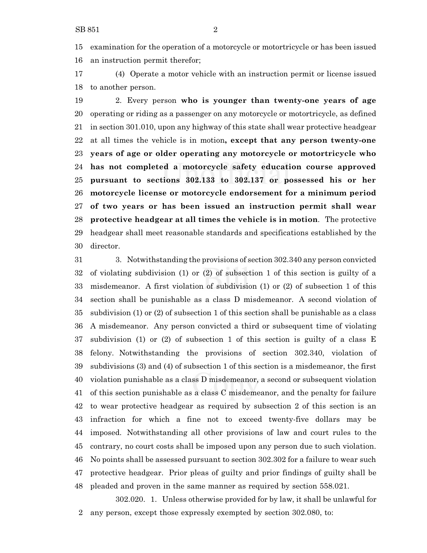examination for the operation of a motorcycle or motortricycle or has been issued an instruction permit therefor;

 (4) Operate a motor vehicle with an instruction permit or license issued to another person.

 2. Every person **who is younger than twenty-one years of age** operating or riding as a passenger on any motorcycle or motortricycle, as defined in section 301.010, upon any highway of this state shall wear protective headgear at all times the vehicle is in motion**, except that any person twenty-one years of age or older operating any motorcycle or motortricycle who has not completed a motorcycle safety education course approved pursuant to sections 302.133 to 302.137 or possessed his or her motorcycle license or motorcycle endorsement for a minimum period of two years or has been issued an instruction permit shall wear protective headgear at all times the vehicle is in motion**. The protective headgear shall meet reasonable standards and specifications established by the director.

 3. Notwithstanding the provisions of section 302.340 any person convicted of violating subdivision (1) or (2) of subsection 1 of this section is guilty of a misdemeanor. A first violation of subdivision (1) or (2) of subsection 1 of this section shall be punishable as a class D misdemeanor. A second violation of subdivision (1) or (2) of subsection 1 of this section shall be punishable as a class A misdemeanor. Any person convicted a third or subsequent time of violating subdivision (1) or (2) of subsection 1 of this section is guilty of a class E felony. Notwithstanding the provisions of section 302.340, violation of subdivisions (3) and (4) of subsection 1 of this section is a misdemeanor, the first violation punishable as a class D misdemeanor, a second or subsequent violation of this section punishable as a class C misdemeanor, and the penalty for failure to wear protective headgear as required by subsection 2 of this section is an infraction for which a fine not to exceed twenty-five dollars may be imposed. Notwithstanding all other provisions of law and court rules to the contrary, no court costs shall be imposed upon any person due to such violation. No points shall be assessed pursuant to section 302.302 for a failure to wear such protective headgear. Prior pleas of guilty and prior findings of guilty shall be pleaded and proven in the same manner as required by section 558.021.

302.020. 1. Unless otherwise provided for by law, it shall be unlawful for any person, except those expressly exempted by section 302.080, to: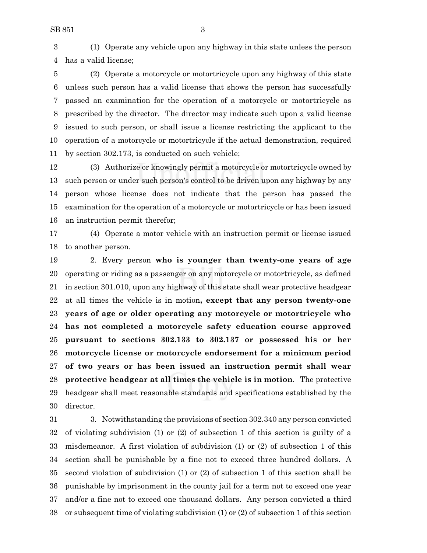(1) Operate any vehicle upon any highway in this state unless the person has a valid license;

 (2) Operate a motorcycle or motortricycle upon any highway of this state unless such person has a valid license that shows the person has successfully passed an examination for the operation of a motorcycle or motortricycle as prescribed by the director. The director may indicate such upon a valid license issued to such person, or shall issue a license restricting the applicant to the operation of a motorcycle or motortricycle if the actual demonstration, required by section 302.173, is conducted on such vehicle;

 (3) Authorize or knowingly permit a motorcycle or motortricycle owned by such person or under such person's control to be driven upon any highway by any person whose license does not indicate that the person has passed the examination for the operation of a motorcycle or motortricycle or has been issued an instruction permit therefor;

 (4) Operate a motor vehicle with an instruction permit or license issued to another person.

 2. Every person **who is younger than twenty-one years of age** operating or riding as a passenger on any motorcycle or motortricycle, as defined in section 301.010, upon any highway of this state shall wear protective headgear at all times the vehicle is in motion**, except that any person twenty-one years of age or older operating any motorcycle or motortricycle who has not completed a motorcycle safety education course approved pursuant to sections 302.133 to 302.137 or possessed his or her motorcycle license or motorcycle endorsement for a minimum period of two years or has been issued an instruction permit shall wear protective headgear at all times the vehicle is in motion**. The protective headgear shall meet reasonable standards and specifications established by the director.

 3. Notwithstanding the provisions of section 302.340 any person convicted of violating subdivision (1) or (2) of subsection 1 of this section is guilty of a misdemeanor. A first violation of subdivision (1) or (2) of subsection 1 of this section shall be punishable by a fine not to exceed three hundred dollars. A second violation of subdivision (1) or (2) of subsection 1 of this section shall be punishable by imprisonment in the county jail for a term not to exceed one year and/or a fine not to exceed one thousand dollars. Any person convicted a third or subsequent time of violating subdivision (1) or (2) of subsection 1 of this section